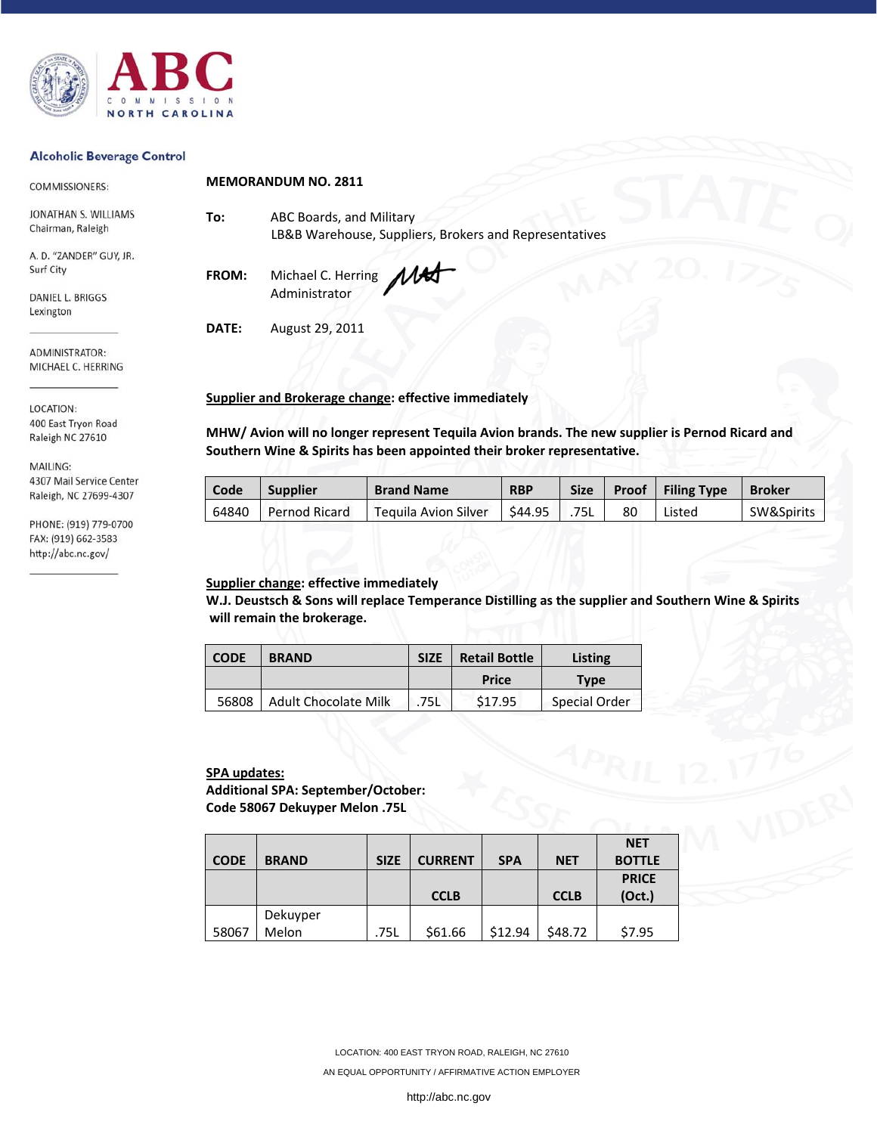

#### **Alcoholic Beverage Control**

| COMMISSIONERS:                            | <b>MEMORANDUM NO. 2811</b> |                                                                      |  |  |  |  |
|-------------------------------------------|----------------------------|----------------------------------------------------------------------|--|--|--|--|
| JONATHAN S. WILLIAMS<br>Chairman, Raleigh | To:                        | ABC Boards, and Military<br>LB&B Warehouse, Suppliers, Brokers and R |  |  |  |  |
| A. D. "ZANDER" GUY, JR.<br>Surf City      | CDOM.                      | Michael C. Horring                                                   |  |  |  |  |

DANIEL L. BRIGGS Lexington

ADMINISTRATOR: MICHAEL C. HERRING

LOCATION: 400 East Tryon Road Raleigh NC 27610

MAILING: 4307 Mail Service Center Raleigh, NC 27699-4307

PHONE: (919) 779-0700 FAX: (919) 662-3583 http://abc.nc.gov/

Representatives

**FROM:** Michael C. Herring Administrator

**DATE:** August 29, 2011

#### **Supplier and Brokerage change: effective immediately**

**MHW/ Avion will no longer represent Tequila Avion brands. The new supplier is Pernod Ricard and Southern Wine & Spirits has been appointed their broker representative.** 

| Code  | <b>Supplier</b> | <b>Brand Name</b>    | <b>RBP</b> | <b>Size</b> | Proof | <b>Filing Type</b> | <b>Broker</b> |
|-------|-----------------|----------------------|------------|-------------|-------|--------------------|---------------|
| 64840 | Pernod Ricard   | Teguila Avion Silver | \$44.95    | 75L         | 80    | Listed             | SW&Spirits    |

## **Supplier change: effective immediately**

**W.J. Deustsch & Sons will replace Temperance Distilling as the supplier and Southern Wine & Spirits will remain the brokerage.** 

| <b>CODE</b> | <b>BRAND</b>                | <b>Retail Bottle</b><br><b>SIZE</b> |                    | Listing       |  |
|-------------|-----------------------------|-------------------------------------|--------------------|---------------|--|
|             |                             |                                     | Price              | <b>Type</b>   |  |
| 56808       | <b>Adult Chocolate Milk</b> | 75L                                 | S <sub>17.95</sub> | Special Order |  |

## **SPA updates:**

**Additional SPA: September/October: Code 58067 Dekuyper Melon .75L** 

|             |              |             |                |            |             | <b>NET</b>    |
|-------------|--------------|-------------|----------------|------------|-------------|---------------|
| <b>CODE</b> | <b>BRAND</b> | <b>SIZE</b> | <b>CURRENT</b> | <b>SPA</b> | <b>NET</b>  | <b>BOTTLE</b> |
|             |              |             |                |            |             | <b>PRICE</b>  |
|             |              |             | <b>CCLB</b>    |            | <b>CCLB</b> | (Oct.)        |
|             | Dekuyper     |             |                |            |             |               |
| 58067       | Melon        | .75L        | \$61.66        | \$12.94    | \$48.72     | \$7.95        |

 LOCATION: 400 EAST TRYON ROAD, RALEIGH, NC 27610 AN EQUAL OPPORTUNITY / AFFIRMATIVE ACTION EMPLOYER

http://abc.nc.gov